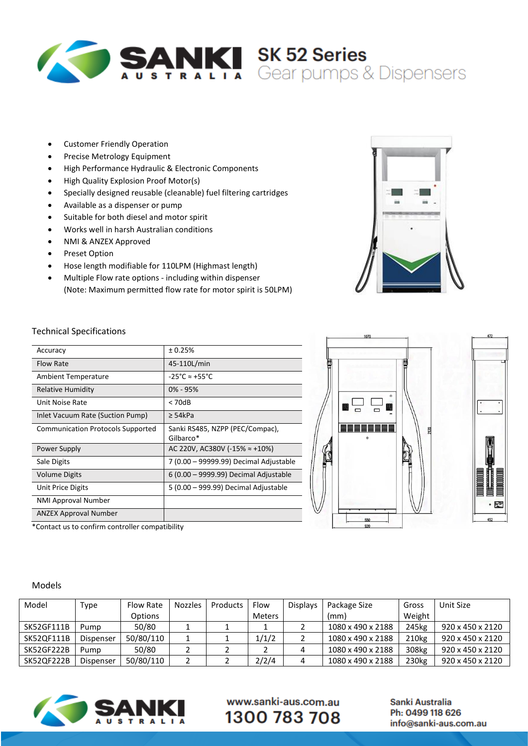

- Customer Friendly Operation
- Precise Metrology Equipment
- High Performance Hydraulic & Electronic Components
- High Quality Explosion Proof Motor(s)
- Specially designed reusable (cleanable) fuel filtering cartridges
- Available as a dispenser or pump
- Suitable for both diesel and motor spirit
- Works well in harsh Australian conditions
- NMI & ANZEX Approved
- Preset Option
- Hose length modifiable for 110LPM (Highmast length)
- Multiple Flow rate options including within dispenser (Note: Maximum permitted flow rate for motor spirit is 50LPM)



#### Technical Specifications

| Accuracy                                 | ± 0.25%                                      |  |  |  |  |
|------------------------------------------|----------------------------------------------|--|--|--|--|
| <b>Flow Rate</b>                         | 45-110L/min                                  |  |  |  |  |
| Ambient Temperature                      | $-25^{\circ}$ C $\approx +55^{\circ}$ C      |  |  |  |  |
| <b>Relative Humidity</b>                 | $0\% - 95\%$                                 |  |  |  |  |
| Unit Noise Rate                          | < 70dB                                       |  |  |  |  |
| Inlet Vacuum Rate (Suction Pump)         | ≥ 54kPa                                      |  |  |  |  |
| <b>Communication Protocols Supported</b> | Sanki RS485, NZPP (PEC/Compac),<br>Gilbarco* |  |  |  |  |
| Power Supply                             | AC 220V, AC380V (-15% $\approx$ +10%)        |  |  |  |  |
| Sale Digits                              | 7 (0.00 - 99999.99) Decimal Adjustable       |  |  |  |  |
| <b>Volume Digits</b>                     | 6 (0.00 - 9999.99) Decimal Adjustable        |  |  |  |  |
| Unit Price Digits                        | 5 (0.00 – 999.99) Decimal Adjustable         |  |  |  |  |
| <b>NMI Approval Number</b>               |                                              |  |  |  |  |
| <b>ANZEX Approval Number</b>             |                                              |  |  |  |  |
|                                          |                                              |  |  |  |  |





#### \*Contact us to confirm controller compatibility

#### Models

| Model             | Type      | Flow Rate      | <b>Nozzles</b> | Products | Flow          | <b>Displays</b> | Package Size      | Gross             | Unit Size                    |
|-------------------|-----------|----------------|----------------|----------|---------------|-----------------|-------------------|-------------------|------------------------------|
|                   |           | <b>Options</b> |                |          | <b>Meters</b> |                 | (mm)              | Weight            |                              |
| <b>SK52GF111B</b> | Pump      | 50/80          |                |          |               |                 | 1080 x 490 x 2188 | 245kg             | $920 \times 450 \times 2120$ |
| SK52QF111B        | Dispenser | 50/80/110      |                |          | 1/1/2         |                 | 1080 x 490 x 2188 | 210 <sub>kg</sub> | 920 x 450 x 2120             |
| SK52GF222B        | Pump      | 50/80          |                |          |               |                 | 1080 x 490 x 2188 | 308kg             | 920 x 450 x 2120             |
| SK52QF222B        | Dispenser | 50/80/110      |                |          | 2/2/4         |                 | 1080 x 490 x 2188 | 230 <sub>kg</sub> | 920 x 450 x 2120             |



www.sanki-aus.com.au 1300 783 708

Sanki Australia Ph: 0499 118 626 info@sanki-aus.com.au